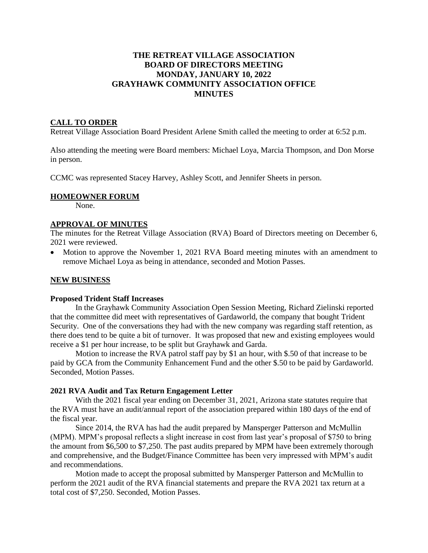### **THE RETREAT VILLAGE ASSOCIATION BOARD OF DIRECTORS MEETING MONDAY, JANUARY 10, 2022 GRAYHAWK COMMUNITY ASSOCIATION OFFICE MINUTES**

#### **CALL TO ORDER**

Retreat Village Association Board President Arlene Smith called the meeting to order at 6:52 p.m.

Also attending the meeting were Board members: Michael Loya, Marcia Thompson, and Don Morse in person.

CCMC was represented Stacey Harvey, Ashley Scott, and Jennifer Sheets in person.

#### **HOMEOWNER FORUM**

None.

# **APPROVAL OF MINUTES**

The minutes for the Retreat Village Association (RVA) Board of Directors meeting on December 6, 2021 were reviewed.

• Motion to approve the November 1, 2021 RVA Board meeting minutes with an amendment to remove Michael Loya as being in attendance, seconded and Motion Passes.

#### **NEW BUSINESS**

#### **Proposed Trident Staff Increases**

In the Grayhawk Community Association Open Session Meeting, Richard Zielinski reported that the committee did meet with representatives of Gardaworld, the company that bought Trident Security. One of the conversations they had with the new company was regarding staff retention, as there does tend to be quite a bit of turnover. It was proposed that new and existing employees would receive a \$1 per hour increase, to be split but Grayhawk and Garda.

Motion to increase the RVA patrol staff pay by \$1 an hour, with \$.50 of that increase to be paid by GCA from the Community Enhancement Fund and the other \$.50 to be paid by Gardaworld. Seconded, Motion Passes.

#### **2021 RVA Audit and Tax Return Engagement Letter**

With the 2021 fiscal year ending on December 31, 2021, Arizona state statutes require that the RVA must have an audit/annual report of the association prepared within 180 days of the end of the fiscal year.

Since 2014, the RVA has had the audit prepared by Mansperger Patterson and McMullin (MPM). MPM's proposal reflects a slight increase in cost from last year's proposal of \$750 to bring the amount from \$6,500 to \$7,250. The past audits prepared by MPM have been extremely thorough and comprehensive, and the Budget/Finance Committee has been very impressed with MPM's audit and recommendations.

Motion made to accept the proposal submitted by Mansperger Patterson and McMullin to perform the 2021 audit of the RVA financial statements and prepare the RVA 2021 tax return at a total cost of \$7,250. Seconded, Motion Passes.